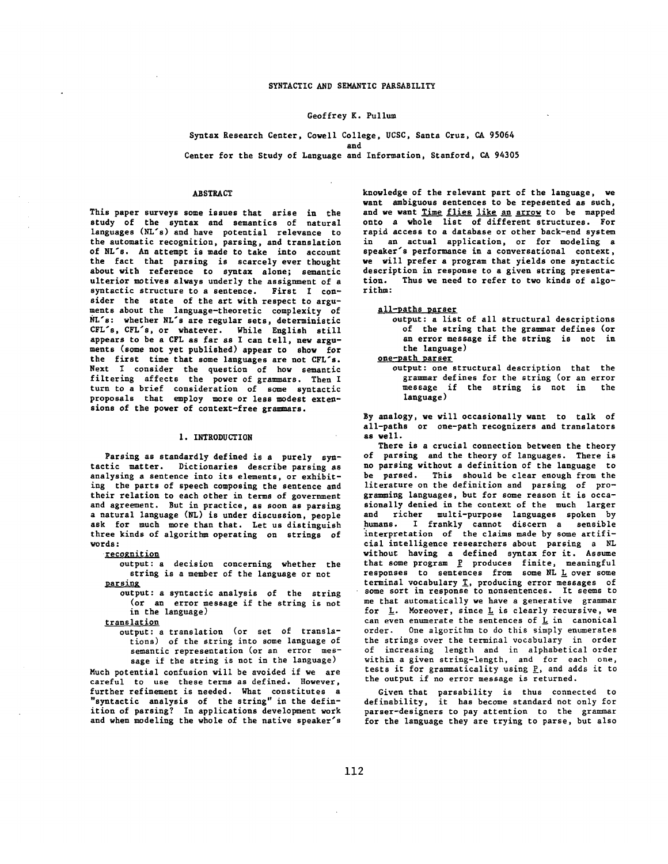## Geoffrey K. Pullum

#### Syntax Research Center, Cowell College, UCSC, Santa Cruz, CA 95064 and

Center for the Study of Language and Information, Stanford, CA 94305

### ABSTRACT

This paper surveys some issues that arise in the study of the syntax and semantics of natural languages (NL's) and have potential relevance to the automatic recognition, parsing, and translation of NL's. An attempt is made to take into account the fact that parsing is scarcely ever thought about with reference to syntax alone; semantic ulterior motives always underly the assignment of a syntactic structure to a sentence. First I consider the state of the art with respect to arguments about the language-theoretic complexity of NL's: whether NL's are regular sets, deterministic CFL's, CFL's, or whatever. While English still appears to be a CFL as far as I can tell, new arguments (some not yet published) appear to show for the first time that some languages are not CFL's. Next I consider the question of how semantic filtering affects the power of grammars. Then I turn to a brief consideration of some syntactic proposals that employ more or less *modest* extensions of the power of context-free grammars.

#### I. INTRODUCTION

Parsing as standardly defined is a purely syntactic matter. Dictionaries describe parsing as analysing a sentence into its elements, or exhibiting the parts of speech composing the sentence and their relation to each other in terms of government and agreement. But in practice, as soon as parsing a natural language (NL) is under discussion, people ask for much more than that. Let us distinguish three kinds of algorithm operating on strings of words:

recognition

output: a decision concerning whether the string is a member of the language or not parsing

output: a syntactic analysis of the string (or an error message if the string is not in the language)

translation

output: a translation (or set of translations) of the string into some language of semantic representation (or an error message if the string is not in the language)

Much potential confusion will be avoided if we are careful to use these terms as defined. However, further refinement is needed. What constitutes a "syntactic analysis of the string" in the definition of parsing? In applications development work and when modeling the whole of the native speaker's knowledge of the relevant part of the language, we want ambiguous sentences to be repesented as such, and we want Time flies like an arrow to be mapped onto a whole list of different structures. For rapid access to a database or other back-end system in an actual application, or for modeling a speaker's performance in a conversational context, we will prefer a program that yields one syntactic description in response to a given string presenta-<br>tion. Thus we need to refer to two kinds of algo-Thus we need to refer to two kinds of algorithm:

# all-paths parser

output: a list of all structural descriptions of the string that the grammar defines (or an error message if the string is not in the language)

one-path parser

output: one structural description that the grammar defines for the string (or an error message if the string is not in the language)

By analogy, we will occasionally want to talk of all-paths or one-path recognizers and translators as well.

There is a crucial connection between the theory of parsing and the theory of languages. There is no parsing without a definition of the language to be parsed. This should be clear enough from the literature on the definition and parsing of programming languages, but for some reason it is occasionally denied in the context of the much larger and richer multi-purpose languages spoken by humans. I frankly cannot discern a sensible interpretation of the claims made by some artificial intelligence researchers about parsing a NL without having a defined syntax for it. Assume that some program P produces finite, meaningful  $r$ esponses to sentences from some NL  $L$  over some terminal vocabulary T, producing error messages of some sort in response to nonsentences. It seems to me that automatically we have a generative grammar for  $L$ . Moreover, since  $L$  is clearly recursive, we can even enumerate the sentences of L in canonical order. One algorithm to do this simply *enumerates*  the strings over the terminal vocabulary in order of increasing length and in alphabetical order within a given string-length, and for each one, tests it for grammaticality using  $\underline{P}$ , and adds it to the output if no error message is returned.

Given that parsability is thus connected to definability, it has become standard not only for parser-designers to pay attention to the grammar for the language they are trying to parse, but also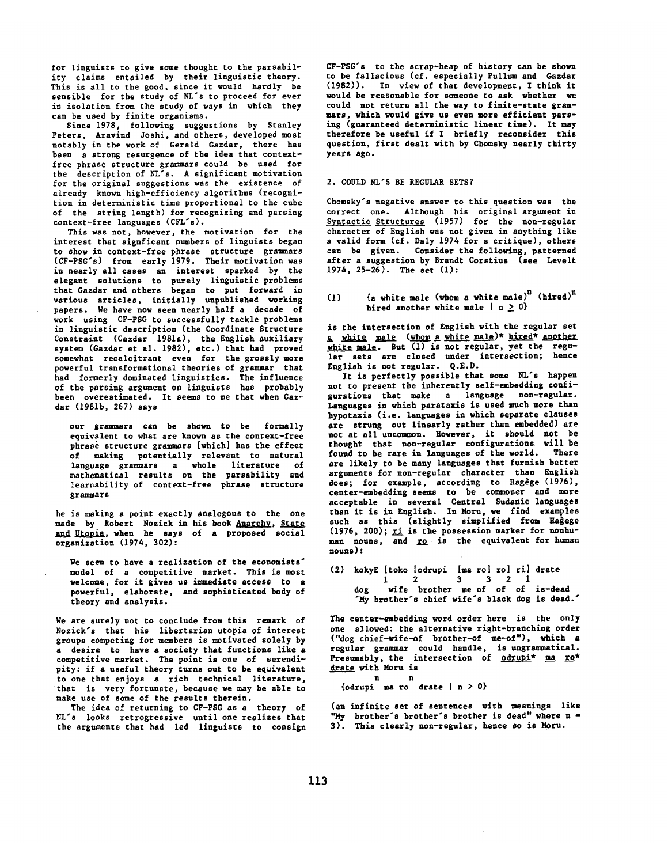for linguists to give some thought to the parsability claims entailed by their linguistic theory. This is all to the good, since it would hardly be sensible for the study of NL's to proceed for ever in isolation from the study of ways in which they can be used by finite organisms.

Since 1978, following suggestions by Stanley Peters, Aravind Joshi, and others, developed most notably in the work of Gerald Gazdar, there has been a strong resurgence of the idea that contextfree phrase structure grammars could be used for the description of NL's. A significant motivation for the original suggestions was the existence of already known high-efficiency algorithms (recognition in deterministic time proportional to the cube of the string length) for recognizing and parsing context-free languages (CFL's).

This was not, however, the motivation for the interest that signficant numbers of linguists began to show in context-free phrase structure grammars (CF-PSG's) from early 1979. Their motivation was in nearly all cases an interest sparked by the elegant solutions to purely linguistic problems that Gazdar and others began to put forward in various articles, initially unpublished working papers. We have now seen nearly half a decade of work using CF-PSG to successfully tackle problems in linguistic description (the Coordinate Structure Constraint (Gazdar 1981e), the English auxiliary system (Gazdar et al. 1982), etc.) that had proved somewhat recalcitrant even for the grossly more powerful transformational theories of grammar that had formerly dominated linguistics. The influence of the parsing argument on linguists has probably been overestimated. It seems to me that when Gazdar (1981b, 267) says

our grammars can be shown to be formally equivalent to what are known as the context-free phrase structure grammars [which] has the effect of making potentially relevant to natural language grammars a whole literature of *mathematical* results on the parsability and *learnability* of context-free phrase structure grammars

he is making a point exactly analogous to the one made by Robert Nozick in his book Anarchy, State and Utopia, when he says of a proposed social organization (1974, 302):

We seem to have a realization of the economists' model of a competitive market. This is most welcome, for it gives us immediate access to a powerful, elaborate, and sophisticated body of theory and analysis.

We are surely not to conclude from this remark of Nozick's that his libertarian utopia of interest groups competing for members is motivated solely by a desire to have a society that functions like a competitive market. The point is one of serendipity: if a useful theory turns out to be equivalent to one that enjoys a rich technical literature, that is very *fortunate,* because we may be able to make use of some of the results therein.

The idea of returning to CF-PSC as e theory of NL's looks retrogressive until one realizes that the arguments that had led linguists to consign

CF-PSG's to the scrap-heap of history can be shown to be fallacious (cf. especially Pullom and Gazdar (1982)). In view of that development, I think it would be reasonable for someone to ask whether we could not return all the way to finite-state grammars, which would give us even more efficient parsing (guaranteed deterministic linear time). It may therefore be useful if I briefly reconsider this question, first dealt with by Chomsky nearly thirty years ago.

## 2. COULD NL'S BE REGULAR SETS?

Chomsky's negative answer to this question was the correct one. Although his original argument in Syntactic Structures (1957) for the non-regular character of English was not given in anything like a valid form (cf. Daly 1974 for a critique), others can be given. Consider the following, patterned after a suggestion by Brandt Corstius (see Levelt 1974,  $25-26$ ). The set  $(1)$ :

## (1)  $\{a \text{ white male } (\text{whom a white male})^n \text{ (hired)}^n\}$ hired another white male  $| n > 0$

is the intersection of English with the regular set a white male (whom a white male)\* hired\* another white male. But (1) is not regular, yet the regular sets are closed under intersection; hence English is not regular. Q.E.D.

It is perfectly possible that some NL's happen not to present the inherently self-embedding configurations that make a language non-regular. Languages in which parataxis is used much more than hypotaxis (i.e. languages in which separate clauses are strung out linearly rather than embedded) are not at all uncommon. However, it should not be thought that non-regular configurations will be found to be rare in languages of the world. There are likely to be many languages that furnish better arguments for non-regular character than English does; for example, according to Hagege  $(1976)$ , center-embedding seems to be commoner and more acceptable in several Central Sudanic languages than it is in English. In Moru, we find examples such as this (slightly simplified from Hagege (1976, 200);  $xi$  is the possession marker for nonhuman nouns, and ro is the equivalent for human nouns):

(2) kokyE [toko [odrupi [ma ro] ro] ri] drate 1 2 3 3 2 1 dog wife brother me of of of is-dead "My brother's chief wife's black dog is dead."

The center-embedding word order here is the only one allowed; the alternative right-branching order ("dog chief-wife-of brother-of me-of"), which a regular grammar could handle, is ungrammatical. Presumably, the intersection of odrupi\* ma ro\* drate with Moru is

{odrupi ma ro drate  $| n > 0$ }

n n

(an infinite set of sentences with meanings like "My brother's brother's brother is dead" where n = **3).** This clearly non-regular, hence so is Moru.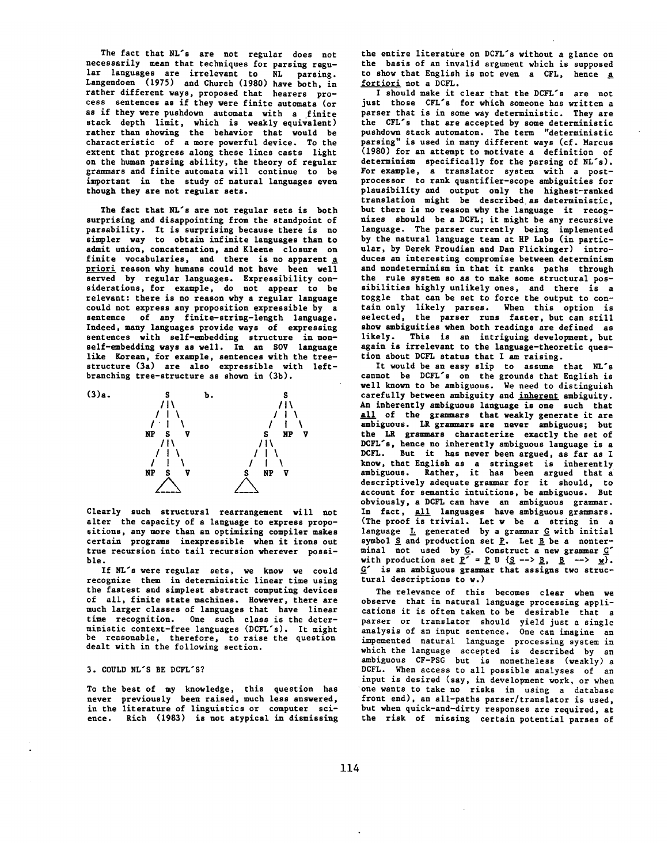The fact that NL's are not regular does not necessarily mean that techniques for parsing regular languages are irrelevant to NL parsing. Langendoen (1975) and Church (1980) have both, in rather different ways, proposed that hearers process sentences as if they were finite automata (or as if they were pushdown automata with a finite stack depth limit, which is weakly equivalent) rather than showing the behavior that would be characteristic of a more powerful device. To the extent that progress along these lines casts light on the human parsing ability, the theory of regular grammars and finite automata will continue to be important in the study of natural languages even though they are not regular sets.

The fact that NL's are not regular sets is both surprising and disappointing from the standpoint of parsahility. It is surprising because there is no simpler way to obtain infinite languages than to admit union, concatenation, and Kleene closure on finite vocabularies, and there is no apparent a priori reason why humans could not have been well served by regular languages. Expressibility considerations, for example, do not appear to be relevant: there is no reason why a regular language could not express any proposition expressible by a sentence of any finite-string-length language. Indeed, many languages provide ways of expressing sentences with self-embedding structure in nonself-embedding ways as well. In an SOV language like Korean, for example, sentences with the treestructure (3a) are also expressible with leftbranching tree-structure as shown in (3b).



Clearly such structural rearrangement will not alter the capacity of a language to express propositions, any more than an optimizing compiler makes certain programs inexpressible when it irons out true recursion into tail recursion wherever possible.

If NL's were regular sets, we know we could recognize them in deterministic linear time using the fastest and simplest abstract computing devices of all, finite state machines. However, there are much larger classes of languages that have linear time recognition. One such class is the deterministic context-free languages (DCFL's). It might be reasonable, therefore, to raise the question dealt with in the following section.

#### 3. COULD NL'S BE DCFL'S?

To the best of my knowledge, this question has never previously been raised, much less answered, in the literature of linguistics or computer science. Rich (1983) is not atypical in dismissing the entire literature on DCFL's without a glance on the basis of an invalid argument which is supposed to show that English is not even a CFL, hence a fortiori not a DCFL.

I should make it clear that the DCFL's are not just those CFL's for which someone has written a parser that is in some way deterministic. They are the CFL's that are accepted by some deterministic pushdown stack automaton. The term "deterministic parsing" is used in many different ways (cf. Marcus (1980) for an attempt to motivate a definition of determinism specifically for the parsing of NL's). For example, a translator system with a postprocessor to rank quantifier-scope ambiguities for plausibility and output only the highest-ranked translation might be described as deterministic, but there is no reason why the language it recognizes should he a DCFL; it might be any recursive language. The parser currently being implemented by the natural language team at HP Labs (in particular, by Derek Proudian and Dan Flickinger) introduces an interesting compromise between determinism and nondeterminism in that it ranks paths through the rule system so as to make some structural possibilities highly unlikely ones, and there is a toggle that can be set to force the output to contain only likely parses. When this option is selected, the parser runs faster, but can still show ambiguities when both readings are defined as likely. This is an intriguing development, but again is irrelevant to the language-theoretic question about DCFL status that I am raising.

It would be an easy slip to assume that NL's cannot be DCFL's on the grounds that English is well known to be ambiguous. We need to distinguish carefully between ambiguity and inherent ambiguity. An inherently ambiguous language is one such that all of the grammars that weakly generate it are ambiguous. LR grammars are never ambiguous; but the LR grammars characterize exactly the set of DCFL's, hence no inherently ambiguous language is a DCFL. But it has never been argued, as far as I know, that English as a stringset is inherently ambiguous. Rather, it has been argued that a descriptively adequate grammar for it should, to account for semantic intuitions, be ambiguous. But obviously, a DCFL can have an ambiguous grammar. In fact, <u>all</u> languages have ambiguous grammars. (The proof is trivial. Let w be a string in a language  $L$  generated by a grammar  $G$  with initial symbol  $\underline{S}$  and production set  $\underline{P}$ . Let  $\underline{B}$  be a nonterminal not used by G. Construct a new grammar G" with production set  $\underline{P}^* = \underline{P}$  U  $(\underline{S} \dashrightarrow \underline{B}, \underline{B} \dashrightarrow \underline{w})$ .  $G'$  is an ambiguous grammar that assigns two structural descriptions to w.)

The relevance of this becomes clear when we observe that in natural language processing applications it is often taken to be desirable that a parser or translator should yield just a single analysis of an input sentence. One can imagine an impemented natural language processing system in which the language accepted is described by an ambiguous CF-PSG but is nonetheless (weakly) a DCFL. When access to all possible analyses of an input is desired (say, in development work, or when one wants to take no risks in using a database front end), an all-paths parser/translator is used, but when quick-and-dirty responses are required, at the risk of missing certain potential parses of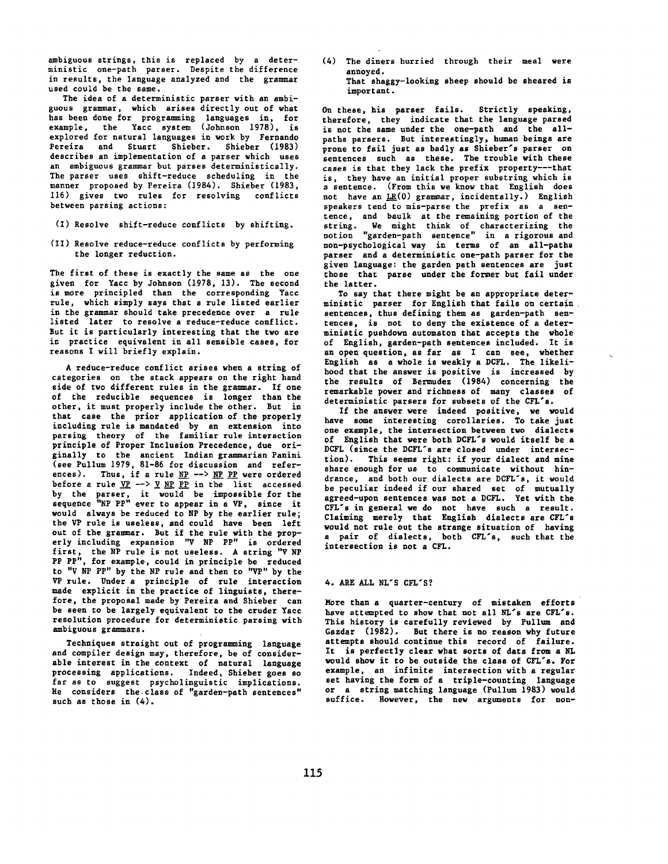ambiguous strings, this is replaced by a deterministic one-path parser. Despite the difference in results, the language analyzed and the grammar used could be the same.

The idea of a deterministic parser with an ambiguous grammar, which arises directly out of what has been done for programming languages in, for example, the Yacc system (Johnson 1978), is explored for natural languages in work by Fernando Pereira and Stuart Shieber. Shieber (1983) describes an implementation of a parser which uses an ambiguous grammar but parses deterministically. The parser uses shift-reduce scheduling in the manner proposed by Pereira (1984). Shieber (1983, i16) gives two rules for resolving conflicts between parsing actions:

- (I) Resolve shift-reduce conflicts by shifting.
- (If) Resolve reduce-reduce conflicts by performing the longer reduction.

The first of these is exactly the same as the one given for Yacc by Johnson (1978, 13). The second is more principled than the corresponding Yacc rule, which simply says that a rule listed earlier in the grammar should take precedence over a rule listed later to resolve a reduce-reduce conflict. But it is particularly interesting that the two are in practice equivalent in all sensible cases, for reasons I will briefly explain.

A reduce-reduce conflict arises when a string of categories on the stack appears on the right hand side of two different rules in the grammar. If one of the reducible *sequences* is longer than the other, it must properly include the other. But in that case the prior application of the properly including rule is mandated by an extension into parsing theory of the familiar rule interaction principle of Proper Inclusion Precedence, due originally to the ancient Indian grammarian Panini (see Pullum 1979, 81-86 for discussion *and* references). Thus, if a rule  $NP$  -->  $NP$  PP were ordered before a rule  $VP$  -->  $Y$   $NP$  PP in the list accessed</u></u></u> by the parser, it would be impossible for the sequence "NP PP" ever to appear in a VP, since it would always be reduced to NP by the earlier rule; the VP rule is useless, and could have been left out of the grammar. But if the rule with the prop-<br>erly including expansion "V NP PP" is ordered erly including expansion "V NP PP" is ordered first, the NP rule is not useless. A string "V NP PP PP", for example, could in principle be reduced to "V NP PP" by the NP rule and then to "VP" by the VP rule. Under a principle of rule interaction made explicit in the practice of linguists, therefore, the proposal made by Pereira and Shieber can be seen to be largely equivalent to the cruder Yacc resolution procedure for *deterministic* parsing with ambiguous grammars.

Techniques straight out of programming *language*  and compiler design may, therefore, be of considerable interest in the context of natural *language processing* applications. Indeed, Shieber goes so far as to suggest psycholinguistic implications. He considers the,class of "garden-path sentences" such as those in (4).

(4) The diners hurried through their meal were annoyed.

That shaggy-looking sheep should be sheared is important.

On these, his parser fails. Strictly speaking, therefore, they indicate that the language parsed is not the same under the one-path and the allpaths parsers. But interestingly, human beings are prone to fail just as badly as Shieber's parser on sentences such as these. The trouble with these *cases* is that they lack the prefix property---that is, they have an initial proper substring which is a sentence. (From this we know that English does not *have* an LR(0) grammar, incidentally.) English *speakers* tend to mis-parse the prefix as a sentence, and baulk at the remaining portion of the string. We might think of *characterizing* the notion "garden-path sentence" in a rigorous and non-psychological way in terms of an all-paths parser and a deterministic one-path parser for the given language: the garden path *sentences* are just those that parse under the former but fail under the latter.

To say that there might be an appropriate deterministic parser for English that fails on certain sentences, thus defining them as garden-path sentences, is not to deny the existence of a deterministic pushdown automaton that accepts the whole of English, garden-path sentences included, it is an open question, as far as I can see, whether English as a whole is weakly a DCFL. The likelihood that the answer is positive is increased by the results of Bermudez (1984) concerning the remarkable power and richness of many classes of deterministic parsers for subsets of the CFL's.

If the answer were indeed positive, we would *have* some interesting corollaries. To take just one example, the intersection between two dialects of English that were both DCFL's would itself be a DCFL (since the DCFL's are closed under intersection). This seems right: if your dialect and mine share enough for us to communicate without hindrance, and both our dialects *are* DCFL's, it would *be* peculiar indeed if our shared set of mutually agreed-upon sentences was not a DCFL. Yet with the CFL's in general we do not have such a result. Claiming merely that English dialects are CFL's would not rule out the strange situation of having a pair of dialects, both CFL's, such that the intersection is not a CFL.

## 4. ARE ALL NL'S CFL'S?

More than a quarter-century of mistaken efforts have attempted to show that not all NL's are CFL's. This history is carefully reviewed by Pullum and *Gazdar* (1982). But there is no reason why future attempts should continue this record of failure. It is perfectly clear what sorts of data from a NL would show it to be *outside* the class of CFL's. For example, an infinite intersection with a regular set having the form of a triple-counting *language*  or a string matching *language* (Pullum 1983) would suffice. However, the new arguments for non-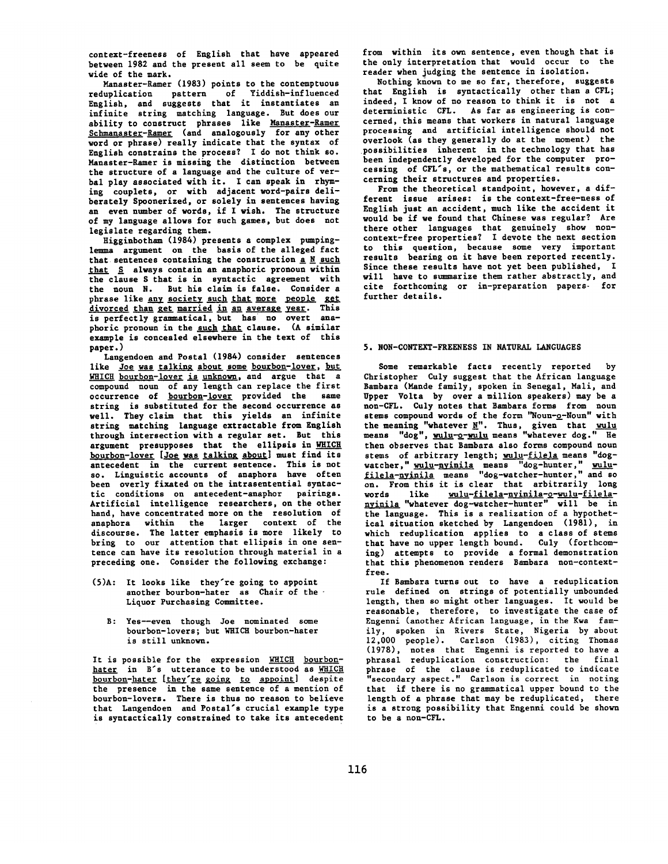context-freeness of English that have appeared between 1982 and the present all seem to be quite wide of the mark.

Manaster-Ramer (1983) points to the contemptuous reduplication pattern of Yiddish-influenced English, and suggests that it instantiates an infinite string matching language. But does our ability to construct phrases like Manaster-Ramer Schmanaster-Ramer (and analogously for any other word or phrase) really indicate that the syntax of English constrains the process? I do not think so. Manaster-Ramer is missihg the distinction between the structure of a language and the culture of verbal play associated with it. I can speak in rhyming couplets, or with adjacent word-pairs deliberately Spoonerized, or solely in sentences having an even number of words, if I wish. The structure of my language allows for such games, but does not legislate regarding them.

Higginbotham (1984) presents a complex pumpinglemma argument on the basis of the alleged fact that sentences containing the construction  $\underline{a}$  N such that S always contain an anaphoric pronoun within the clause S that is in syntactic agreement with the noun N. But his claim is false. Consider a phrase like any society such that more people get divorced than get married in an average year. This is perfectly grammatical, but has no overt anaphoric pronoun in the <u>such that</u> clause. (A similar example is concealed elsewhere in the text of this paper.)

Langendoen and Postal (1984) consider sentences like Joe was talking about some bourbon-lover, but WHICH bourbon-lover is unknown, and argue that a compound noun of any length can replace the first occurrence of <u>bourbon-lover</u> provided the same string is substituted for the second occurrence as well. They claim that this yields an infinite string matching language extractable from English through intersection with a regular set. But this argument presupposes that the ellipsis in WHICH bourbon-lover [Joe was talking about] must find its antecedent in the current sentence. This is **not**  so. Linguistic accounts of anaphora have often been overly fixated on the intrasentential syntactic conditions on antecedent-anaphor pairings. Artificial intelligence researchers, on the other hand, have concentrated more on the resolution of anaphora within the larger context of the discourse. The latter emphasis is more likely to bring to our attention that ellipsis in one sentence can have its resolution through material in a preceding one. Consider the following exchange:

- (5)A: It looks like they're going to appoint another bourbon-hater as Chair of the Liquor Purchasing Committee.
	- **B:** Yes--even though Joe nominated some bourbon-lovers; but WHICH bourbon-hater is still unknown.

It is possible for the expression WHICH bourbonhater in B's utterance to be understood as WHICH bourbon-hater [they're going to appoint] despite the presence in the same sentence of a mention of bourbon-lovers. There is thus no reason to believe that Langendoen and Postal's crucial example type is syntactically constrained to take its antecedent from within its own sentence, even though that is the only interpretation that would occur to the reader when judging the sentence in isolation.

Nothing known to me so far, therefore, suggests that English is syntactically other than a CFL; indeed, I know of no reason to think it is not a deterministic CFL. As far as engineering is concerned, this means that workers in natural language processing and artificial intelligence should not overlook (as they generally do at the moment) the possibilities inherent in the technology that has been independently developed for the computer processing of CFL's, or the mathematical results concerning their structures and properties.

From the theoretical standpoint, however, a different issue arises: is the oontext-free-ness **of**  English just an accident, much like the accident it would be if we found that Chinese was regular? Are there other languages that genuinely show noncontext-free properties? I devote the next section to this question, because some very important results bearing on it have been reported recently. Since these results have not yet been published, I will have to summarize them rather abstractly, and cite forthcoming or in-preparation papers- for further details.

## 5. NON-CONTEXT-FREENESS IN NATURAL LANGUAGES

Some remarkable facts recently reported by Christopher Culy suggest that the African language Bambara (Mande family, spoken in Senegal, Mali, and Upper Volta by over a million speakers) may be a non-CYL. Culy notes that Bambara forms from noun stems compound words of the form "Noun-o-Noun" with the meaning "whatever <u>N</u>". Thus, given that <u>wulu</u> means "dog", wulu-o-wulu means "whatever dog." He then observes that Bambara also forms compound noun stems of arbitrary length; wulu-filela means "dogwatcher," wulu-nyinila means "dog-hunter," wulufilela-nyinila means "dog-watcher-hunter," and so on. From this it is clear that arbitrarily long words like wulu-filela-nyinila-o-wulu-filelanyinila "whatever dog-watcher-hunter" will be in the language. This is a realization of a hypothetical situation sketched by Langendoen (1981), in which reduplication applies to a class of stems that have no upper length bound. Culy (forthcoming) attempts to provide a formal demonstration that this phenomenon renders Bambara non-contextfree.

If Bambara turns out to have a reduplication rule defined on strings of potentially unbounded length, then so might other languages. It would be reasonable, therefore, *to investigate* the case of Engenni (another African language, in the Kwa family, spoken in Rivers State, Nigeria by about 12,000 people). Carlson (1983), citing Thomas (1978), notes that Engenni is reported to have a phrasal reduplication construction: the final phrase of the clause is reduplicated to indicate "secondary aspect." Carlson is correct in noting that if there is no grammatical upper bound to the length of a phrase that may be reduplicated, there is a strong possibility that Engenni could be shown to be a non-CFL.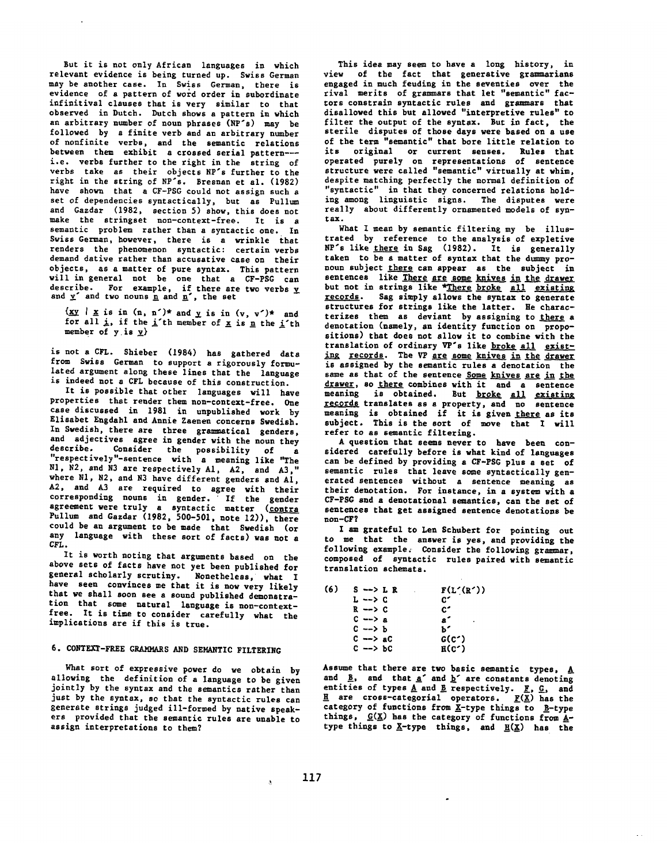But it is not only African languages in which relevant evidence is being turned up. Swiss German may be another case. In Swiss German, there is evidence of a pattern of word order in subordinate infinitival clauses that is very similar to that observed in Dutch. Dutch shows a pattern in which an arbitrary number of noun phrases (NP's) may be followed by a finite verb and an arbitrary number of nonfinite verbs, and the semantic relations between them exhibit a crossed serial pattern-- i.e. verbs further to the right in the string of verbs take as their objects NP's further to the right in the string of NP's. Bresnan et al. (1982) have shown that a CF-PSG could not assign such a set of dependencies syntactically, but as Pullum and Gazdar (1982, section 5) show, this does not make the stringset non-context-free. It is a semantic problem rather than a syntactic one. In Swiss German, however, there is a wrinkle *that*  renders the phenomenon syntactic: certain verbs demand dative rather than accusative case on their objects, as a matter of pure syntax. This pattern will in general not be one that a CF-PSC can describe. For example, if there are two verbs and  $\underline{v}^*$  and two nouns <u>n</u> and  $\underline{n}^*$ , the set

 $\{xy \mid x \text{ is in } (n, n')^* \text{ and } y \text{ is in } (v, v')^* \text{ and }$ for all  $\pm$ , if the i'th member of  $\underline{x}$  is n the i'th member of  $y$  is  $y$ }

is not a CFL. Shieber (1984) has gathered data from Swiss German to support a rigorously formulated argument along these lines that the language is indeed not a CFL because of this construction.

It is possible that other languages will have properties that render them non-context-free. One case discussed in 1981 in unpublished work by Elisabet Eugdahl and Annie Zaenen concerns Swedish. In Swedish, there are three grammatical genders, and adjectives agree in gender with the noun they *describe.* Consider the possibility of a "respectively"-sentence with a meaning like "The N1, N2, and N3 are respectively A1, A2, and A3," where NI, N2, and N3 have different genders end AI, A2, and A3 are required to agree with their corresponding nouns in gender. If the gender agreement were truly a syntactic matter (contra Pullum and Gazdar (1982, 500-501, note 12)), there could be an argument to be made that Swedish (or any language with these sort of facts) was not a CFL.

It is worth noting that arguments based on the above sets of facts have not yet been published for general scholarly scrutiny. Nonetheless, what I have seen convinces me that it is now very likely that we shall soon see a sound published demonstration that some natural language is non-contextfree. It is time to consider carefully what the implications are if this is true.

## 6. CONTEXT-FREE GRAMMARS AND SEMANTIC FILTERING

What sort of expressive power do we obtain by allowing the definition of a language to be given jointly by the syntax and the semantics rather than just by the syntax, so that the syntactic rules can generate strings judged ill-formed by native speakers provided that the semantic rules are unable to assign interpretations to them?

This idea may seem to have a long history, in view of the fact that generative grammarians engaged in much feuding in the seventies over the rival merits of grammars that let "semantic" factors constrain syntactic rules and grammars that disallowed this but allowed "interpretive rules" to filter the output of the syntax. But in fact, the sterile disputes of those days were based on a use of the term "semantic" that bore little relation to its original or current senses. Rules that operated purely on representations of sentence structure were called "semantic" virtually at whim, despite matching perfectly the normal definition of "syntactic" in that they concerned relations holding among linguistic signs. The disputes were really about differently ornamented models of syntax.

What I mean by semantic filtering my be illustrated by reference to the analysis of expletive NP's like there in Sag (1982). It is generally taken to be a matter of syntax that the dummy pronoun subject there can appear as the subject in sentences like There are some knives in the drawer but not in strings like \*There broke all existing records. Sag simply allows the syntax to generate structures for strings like the latter. He characterizes them as deviant by assigning to there a denotation (namely, an identity function on propositions) that does not allow it to combine with **the**  translation of ordinary VP's like broke all existing records. The VP are some knives in the drawer is assigned by the semantic rules a denotation the same as that of the sentence Some knives are in the drawer, so there combines with it and a sentence meaning is obtained. But <u>broke all existing</u><br><u>records</u> translates as a property, and no sentence meaning is obtained if it is given there as its subject. This is the sort of move that I will refer to as semantic filtering.

A question that seems never to have been considered carefully before is what kind of languages can be defined by providing a CF-PSG plus a set of semantic rules that leave some syntactically generated sentences without a sentence meaning as their denotation. For instance, in a system with a CF-PSG and a denotational semantics, can the set of sentences that get assigned sentence denotations be non-CF?

I am grateful to Len Schubert for pointing out to me that the answer is yes, and providing the following example. Consider the following grammar, composed of syntactic rules paired with semantic translation schemata.

| (6) | $S \rightarrow \ L R$ | F(L'(R'))       |
|-----|-----------------------|-----------------|
|     | L --> C               | C'              |
|     | R --> C               | c.              |
|     | $C \rightarrow a$     | a'<br>٠         |
|     | ር --> ъ               | ъ-              |
|     | $C \rightarrow AC$    | $G(C^{\prime})$ |
|     | ር --> Ъር              | $R(C^{\prime})$ |

Assume that there are two basic semantic types,  $\underline{A}$ and  $\underline{B}$ , and that  $\underline{a}^*$  and  $\underline{b}^*$  are constants denoting entities of types  $\underline{A}$  and  $\underline{B}$  respectively.  $\underline{F}$ ,  $\underline{G}$ , and are cross-categorial operators.  $\underline{F(X)}$  has the category of functions from  $\underline{X}$ -type things to  $\underline{B}$ -type things,  $C(\underline{X})$  has the category of functions from Atype things to  $\underline{X}$ -type things, and  $\underline{H}(\underline{X})$  has the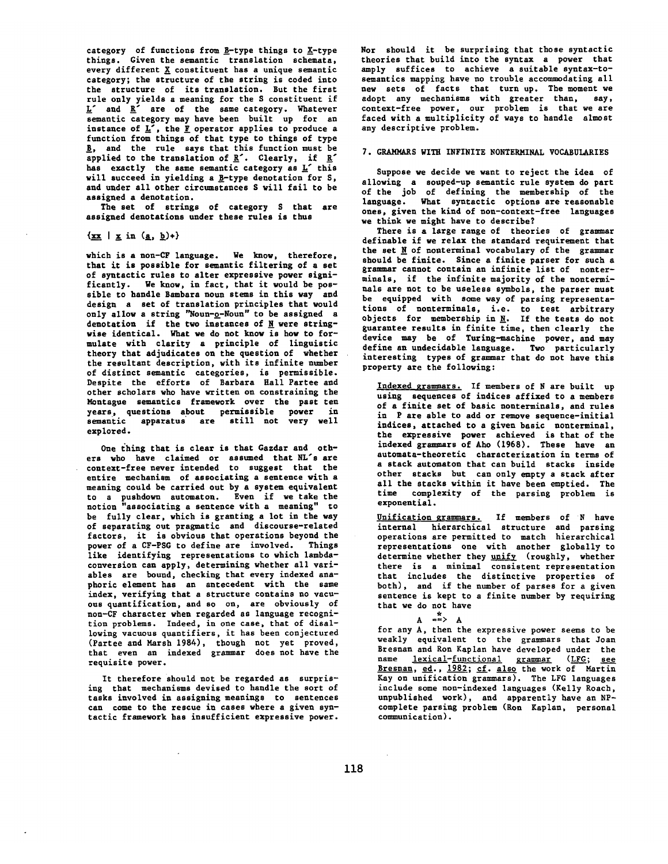category of functions from  $\underline{B}$ -type things to  $\underline{X}$ -type things. Given the semantic translation schemata, every different X constituent has a unique semantic category; the structure of the string is coded into the structure of its translation. But the first rule only yields a meaning for the S constituent if  $L'$  and  $R'$  are of the same category. Whatever semantic category may have been built up for an instance of  $L^7$ , the *F* operator applies to produce a function from things of that type to things of type B, and the rule says that this function must be applied to the translation of  $R'$ . Clearly, if  $R'$ has exactly the same semantic category as L' this will succeed in yielding a B-type denotation for S, and under all other circumstances S will fail to be assigned a denotation.

The set of strings of category S that are assigned denotations under these rules is thus

 $\{\underline{\mathbf{x}}\ \underline{\mathbf{x}}\ | \ \underline{\mathbf{x}} \text{ in } (\underline{\mathbf{a}}, \underline{\mathbf{b}})+\}$ 

which is a non-CF language. We know, therefore, that it is possible for semantic filtering of a set of syutactic rules to alter expressive power significantly. We know, in fact, that it would be possible to handle Bambara noun stems in this way and design a set of translation principles that would only allow a string "Noun-o-Noun" to be assigned a denotation if the two instances of  $\underline{N}$  were stringwise identical. What we do not know is how to formulate with clarity a principle of linguistic theory that adjudicates on the question of whether the resultant description, with its infinite number of distinct semantic categories, is permissible. Despite the efforts of Barbara Hall Partee and other scholars who have written on constraining the Montague semantics framework over the past ten years, questions about permissible power in semantic apparatus are still not very well explored.

One thing that is clear is that Gazdar and others who have claimed or assumed that NL's are context-free never intended to suggest that the entire mechanism of associating a sentence with a meaning could be carried out by a system equivalent to a pushdown automaton. Even if we take the notion "associating a sentence with a meaning" to be fully clear, which is granting a lot in the way of separating out pragmatic and discourse-related factors, it is obvious that operations beyond the power of a CY-PSG to define are involved. Things like identifying representations to which lambdaconversion can apply, determining whether ali variables are bound, checking that every indexed anaphoric element has an antecedent with the same index, verifying that a structure contains no vacuous quantification, and so on, are obviously of non-CF *character* when regarded as language recognition problems. Indeed, in one case, that of disallowing vacuous quantifiers, it has been conjectured (Partee and Marsh 1984), though not yet proved, that even an indexed grammar does not have the requisite power.

It therefore should not be regarded as surprising that mechanisms devised to handle the sort of tasks involved in assigning meanings to sentences can come to the rescue in cases where a given syntactic framework has insufficient expressive power. Nor should it be surprising that those syntactic theories that build into the syntax a power that amply suffices to achieve a suitable syntax-tosemantics mapping have no trouble accommodating all new sets of facts that turn up. The moment we adopt any mechanisms with greater than, say, context-free power, our problem is that we are faced with a multiplicity of ways to handle almost any descriptive problem.

### 7. GRAMMARS WITH INFINITE NONTERMINAL VOCABULARIES

Suppose we decide we want to reject the idea of allowing a souped-up semantic rule system do part of the job of defining the membership of the language. What syntactic options are reasonable ones, given the kind of non-context-free languages we think we might have to describe?

There is a large range of theories of grammar definable if we relax the standard requirement that the set  $N$  of nonterminal vocabulary of the grammar should be finite. Since a finite parser for such a grammar cannot contain an infinite list of nonterminals, if the infinite majority of the nonterminaIs are not to be useless symbols, the parser must be equipped with some way of parsing representations of nonterminals, i.e. to test arbitrary objects for membership in  $\underline{N}$ . If the tests do not guarantee results in finite time, then clearly the device may be of Turing-machine power, and may define an undecidable language. Two particularly interesting types of grammar that do not have this property are the following:

Indexed grammars. If members of N are built up using sequences of indices affixed to a members of a finite set of basic nonterminals, and rules in P are able to add or remove sequence-initial indices, attached to a given basic nonterminal, the expressive power achieved is that of the indexed grammars of Aho (1968). These have an automata-theoretic characterization in terms of a stack automaton that can build stacks inside other stacks but can only empty a stack after **all** the stacks within it have been emptied. The time complexity of the parsing problem is exponential.

Unification grammars. If members of N have internal hierarchical structure and parsing operations are permitted to match hierarchical representations one with another globally to determine whether they unify (roughly, whether there is a minimal consistent representation that includes the distinctive properties of both), and if the number of parses for a given sentence is kept to a finite number by requiring that we do not have

 $A \xrightarrow{\star} A$ 

for any A, then the expressive power seems to be weakly equivalent to the grammars that Joan Bresnan and Ron Kaplan have developed under the name **lexical-functional grammar** (LFG; see Bresnan, ed., 1982; cf. also the work of Martin Kay on unification grammars). The LFG languages include some non-indexed languages (Kelly Roach, unpublished work), and apparently have an NPcomplete parsing problem (Ron Kaplan, personal communication).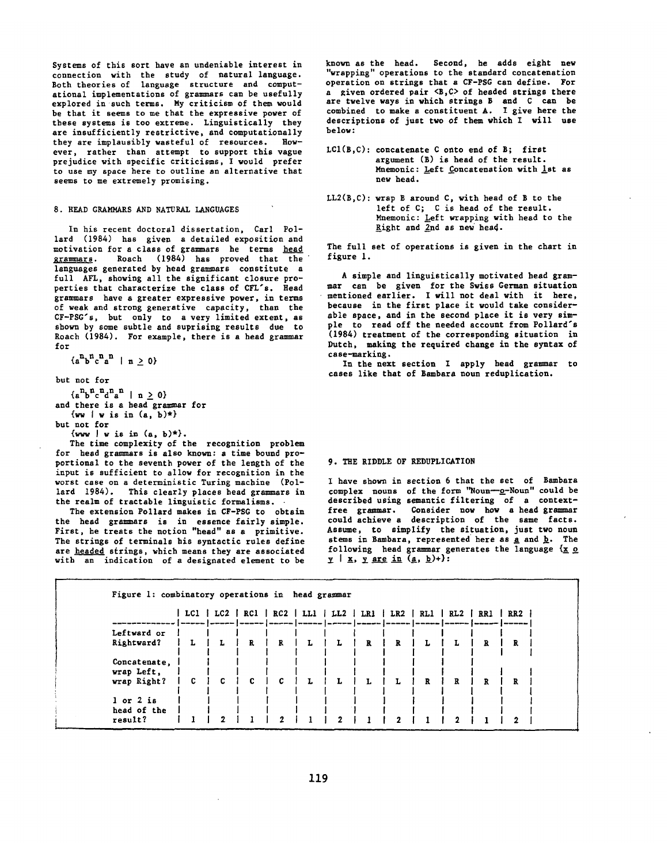Systems of this sort have an undeniable interest in connection with the study of natural language. Both theories of language structure and computational implementations of grammars can be usefully explored in such terms. My criticism of them would be that it seems to me that the expressive power of these systems is too extreme. Linguistically they are insufficiently restrictive, and computationally they are implausibly wasteful of resources. However, rather than attempt to support this vague prejudice with specific criticisms, I would prefer to use my space here to outline an alternative that seems to me extremely promising.

### 8. READ GRAMMARS AND NATURAL LANGUAGES

In his recent doctoral dissertation, Carl Pollard (1984) has given a detailed exposition and motivation for a class of grammars he terms head grammars. Roach (1984) has proved that the languages generated by head grammars constitute a full AFL, showing all the significant closure properties that characterize the class of CFL's. Head grammars have a greater expressive power, in terms of weak and strong generative capacity, than the CF-PSG's, but only to a very limited extent, as shown by some subtle and suprising results due to Roach (1984). For example, there is *a head* grammar for

 ${a^n b^n c^n a^n}$  |  $n \ge 0$ }

but not for

 ${a^n b^n c^n d^n a^n} \mid n \ge 0$ and there is a head grammar for  $\{vw \mid w \text{ is in } (a, b) \star \}$ 

but not for

 $\{ww \mid w \text{ is in } (a, b)^*\}.$ 

The time complexity of the recognition problem for head grammars is also known: a time bound proportional to the seventh power of the length of the input is sufficient to allow for recognition in the worst case on a deterministic Turing machine (Pollard 1984). This clearly places head grammars in the realm of tractable linguistic formalisms.

The extension Pollard makes in CF-PSG to obtain the head grammars is in essence fairly simple. First, he treats the notion "head" as a primitive. The strings of terminals his syntactic rules define are headed strings, which means they are associated with an indication of a designated element to be

known as the head. Second, he adds eight new "wrapping" operations to the standard concatenation operation on strings that a CF-PSG can define. For a given ordered pair <B,C> of headed strings there are twelve ways in which strings B and C can be combined to make a constituent A. I give here the descriptions of just two of them which I will use below:

- LCI(B,C): concatenate C onto end of B; first argument (B) is head of the result. Mnemonic: Left Concatenation with 1st as new head.
- LL2(B,C): wrap B around C, with head of B to the left of C; C is head of the result. Mnemonic: Left wrapping with head to the Right and  $2nd$  as new head.

The full set of operations is given in the chart in figure I.

A simple and linguistically motivated head grammar can be given for the Swiss German situation mentioned earlier. I will not deal with it here, because in the first place it would take considerable space, and in the second place it is very simple to read off the needed account from Pollard's (1984) treatment of the corresponding situation in Dutch, making the required change in the syntax of case-marking.

In the next section I apply head grammar to cases like that of Bambara noun reduplication.

#### 9. THE RIDDLE OF REDUPLICATION

I have shown in section 6 that the set of Bambara complex nouns of the form "Noun---o-Noun" could be described using semantic filtering of a contextfree grammar. Consider now how a head grammar could achieve a description of the *same* facts. Assume, to simplify the situation, just two noun stems in Bambara, represented here as  $a$  and  $b$ . The following head grammar generates the language  ${x \circ y}$   $\mid x, y \text{ are in } (a, b)$ +):

| Figure 1: combinatory operations in head grammar |     |                        |     |              |   |     |     |     |              |                 |                                                                                                       |              |  |
|--------------------------------------------------|-----|------------------------|-----|--------------|---|-----|-----|-----|--------------|-----------------|-------------------------------------------------------------------------------------------------------|--------------|--|
|                                                  | LC1 | $^{\circ}$ LC2 $\perp$ | RC1 | RC2 LL1      |   | LL2 | LR1 | LR2 | RL1          | R <sub>L2</sub> | RRI<br>******   ~****   *****   *****   *****   ~****   ~****   *****   *****   *****   *****   ***** | $R_{\rm R2}$ |  |
| Leftward or                                      |     |                        |     |              |   |     |     |     |              |                 |                                                                                                       |              |  |
| Rightward?                                       |     | L                      | R   | R            | L | L   | R   | R   | L            | L               | R                                                                                                     | R            |  |
| Concatenate,<br>wrap Left,                       |     |                        |     |              |   |     |     |     |              |                 |                                                                                                       |              |  |
| wrap Right?                                      | C   | c                      | C.  | $\mathbf{c}$ | L | L   | L   |     | $\mathbf{R}$ | $\mathbf{R}$    | R                                                                                                     | R            |  |
| $1$ or $2$ is<br>head of the                     |     |                        |     |              |   |     |     |     |              |                 |                                                                                                       |              |  |
| result?                                          |     |                        |     |              |   |     |     |     |              |                 |                                                                                                       |              |  |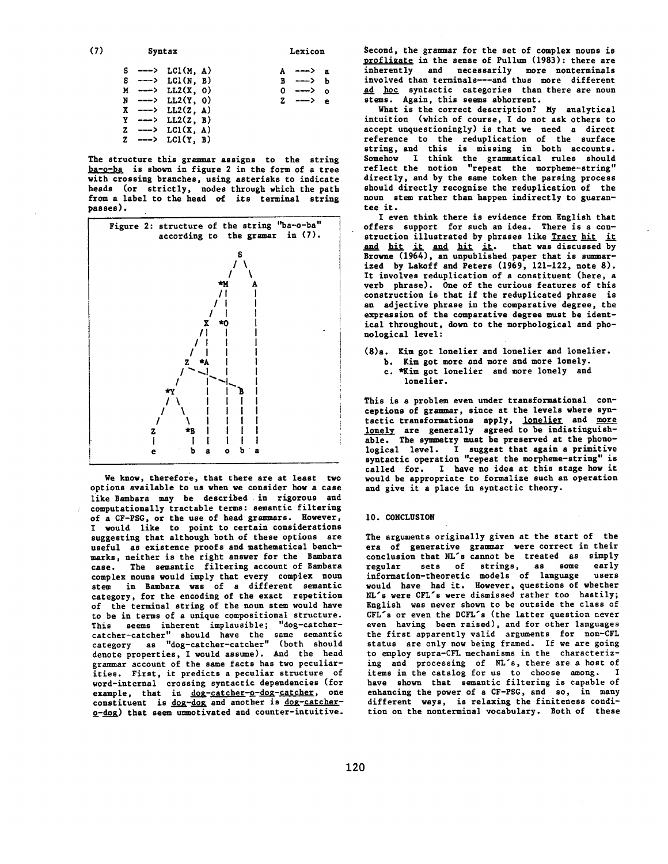| (7) |  | Syntax                                                                                        | Lexicon |                      |  |  |
|-----|--|-----------------------------------------------------------------------------------------------|---------|----------------------|--|--|
|     |  | $S \rightarrow -\rightarrow \text{LCl}(M, A)$                                                 |         | $\rightarrow$ ---> a |  |  |
|     |  | $S \leftarrow-> LCI(N, B)$                                                                    |         | B ---> b             |  |  |
|     |  | $M \leftarrow \rightarrow \text{LL2}(X, 0)$                                                   |         | 0 ---> o             |  |  |
|     |  | $N$ ---> $LL2(Y, 0)$                                                                          |         | $2 \rightarrow 2$    |  |  |
|     |  | $X$ ---> $LL2(Z, A)$                                                                          |         |                      |  |  |
|     |  | $Y \longrightarrow LL2(Z, B)$                                                                 |         |                      |  |  |
|     |  | $Z \longrightarrow LCl(X, A)$                                                                 |         |                      |  |  |
|     |  | Z $\leftarrow$ $\leftarrow$ $\leftarrow$ $\leftarrow$ $\left(\frac{1}{1}, \frac{1}{2}\right)$ |         |                      |  |  |

The structure this grammar assigns to the string ba-o-ba is shown in figure 2 in the form of a tree with crossing branches, using asterisks to indicate heads (or strictly, nodes through which the path from a label to the head of its terminal string )asses).



We know, therefore, that there are at least two options available to us when we consider how a case like Bambara may be described in rigorous and computationally tractable terms: semantic filtering of a CF-PSG, or the use of head grammars. However, I would like to point to certain considerations suggesting that although both of these options are useful as existence proofs and mathematical benchmarks, neither is the right answer for the Bembara case. The semantic filtering account of Bembara complex nouns would imply that every complex noun stem in Bambara was of a different semantic category, for the encoding of the exact repetition of the terminal string of the noun stem would have to be in terms of a unique compositional structure. This seems inherent implausible; "dog-catchercatcher-catcher" should have the same semantic category as "dog-catcher-catcher" (both should denote properties, I would assume). And the head grammar account of the same facts has two peculiarities. First, it predicts a peculiar structure of word-internal crossing syntactic dependencies (for example, that in dog-catcher-o-dog-catcher, one constituent is dog-dog and another is dog-catcher-~-doR) that seem unmotivated and counter-intuitive.

Second, the grammar for the set of complex nouns is profligate in the sense of Pullum (1983): there are inherently and necessarily more nonterminals involved than terminals---and thus more different ad hoc syntactic categories than there are noun stems. Again, this seems abhorrent.

What is the correct description? My analytical intuition (which of course, I do not ask others to accept unquestioningly) is that we need a direct reference to the reduplication of the surface string, and this is missing in both accounts. Somehow I think the grammatical rules should reflect the notion "repeat the morpheme-string" directly, and by the same token the parsing process should directly recognize the reduplication of the noun stem rather than happen indirectly to guarantee it.

I even think there is evidence from English that offers support for such an idea. There is a construction illustrated by phrases like Tracy hit it and hit it and hit it. that was discussed by Browne (1964), an unpublished paper that is summarized by Lakoff and Peters (1969, 121-122, note 8). It involves reduplication of a constituent (here, a verb phrase). One of the curious features of this construction is that if the reduplicated phrase is an adjective phrase in the comparative degree, the expression of the comparative degree must be identical throughout, down to the morphological and phonological level:

(8)a. Kimgot lonelier and lonelier and lonelier.

b. Kim got more and more and more lonely. c. \*Kim got lonelier and more lonely and lonelier.

This is a problem even under transformational conceptions of grammar, since at the levels where syntactic transformations apply, lonelier and more lonely are generally agreed to be indistinguishable. The symmetry must be preserved at the phonological level. I suggest that again a primitive syntactic operation "repeat the morpheme-string" is called for. I have no idea at this stage how it would be appropriate to formalize such an operation and give it a place in syntactic theory.

## 10. CONCLUSION

The arguments originally given at the start of the era of generative grammar were correct in their conclusion that NL's cannot be treated as simply regular sets of strings, as some early information-theoretic models of language users would have had it. However, questions of whether NL's were CFL's were dismissed rather too hastily; English was never shown to be outside the class of CFL's or even the DCFL's (the latter question never even having been raised), and for other languages the first apparently valid arguments for non-CFL status are only now being framed. If we are going to employ supra-CFL mechanisms in the characterizing and processing of NL's, there are a host of items in the catalog for us to choose among. I have shown that semantic filtering is capable of enhancing the power of a CF-PSG, and so, in many different ways, is relaxing the finiteness condition on the nonterminal vocabulary. Both of these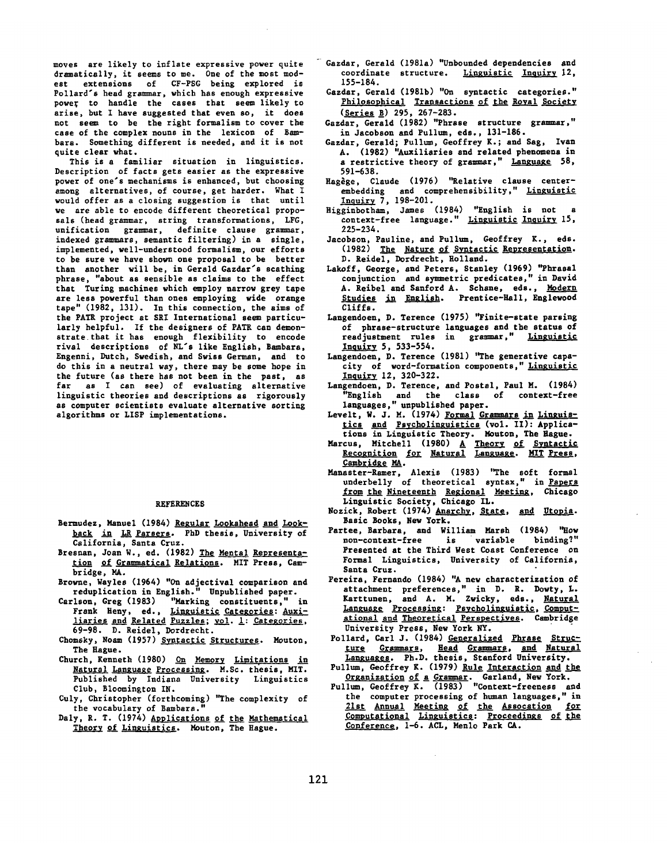moves are likely to inflate expressive power quite dramatically, it seams to me. One of the most modest extensions of CF-PSG being explored is Pollard's head grammar, which has enough expressive power to handle the cases that seem likely to arise, but I have suggested that even so, it does not seem to be the right formalism to cover the case of the complex nouns in the lexicon of Sambare. Something different is needed, and it is not quite clear what.

This is a familiar situation in linguistics. Description of facts gets easier as the expressive power of one's mechanisms is enhanced, hut choosing among alternatives, of course, get harder. What I would offer as a closing suggestion is that until we *are* able to encode different theoretical proposals (head *grammar,* string transformations, LFG, unification grammar, definite clause grammar, indexed grammars, semantic filtering) in a single, implemented, well-understood formalism, our efforts to be sure we have shown one proposal to be better than another will be, in Gerald Gazdar's scathing phrase, "about as sensible as *claims* to the effect that Turing machines which employ narrow grey tape are less powerful than ones employing wide orange tape" (1982, 131). In this connection, the aims of the PATE project at SRI International seem particularly helpful. If the designers of PATE *can* demonstrate.that it has enough flexibility to encode rival descriptions of NL's like English, Bambara, Engenni, Dutch, Swedish, and Swiss German, and to do this in a neutral way, there may be some hope in the future (as there has not been in the past, as far as I can see) of evaluating alternative linguistic theories and descriptions as rigorously as computer scientists evaluate alternative sorting algorithms or LISP implementations.

#### REFERENCES

- Bermudez, Manuel (1984) Regular Lookahead and Lookback in LR Parsers. PhD thesis, University of California, Santa Cruz.
- Bresnan, Joan W., ed. (1982) The Mental Representation of Grammatical Relations. MIT Press, Cambridge, MA.
- Browne, Wayles (1964) "On adjectival comparison and
- reduplication in English." Unpublished paper. Carlson, Creg (1983) "Marking constituents," in Frank Heny, ed., Linguistic Categories: Auxi-<u>liaries and Related Puzzles; vol. 1: Categories,</u> 69-98. D. Reidel, Dordrecht.
- Chomsky, Noam (1957) Syntactic Structures. Mouton, The Hague.
- Church, Kenneth (1980) On Memory Limitations in Natural Language Processing. M.Sc. thesis, MIT. Published by Indiana University Linguistics Club, Bloomington IN.
- Culy, Christopher (forthcoming) "The complexity of the vocabulary of Bambara.
- Daly, R. T. (1974) Applications of the Mathematical Theory of Linguistics. Mouton, The Hague.
- Gazdar, Gerald (1981a) "Unbounded dependencies and coordinate structure. Linguistic Inquiry 12, 155-184.
- Cazdar, Gerald (1981b) "On syntactic categories." Philosophical Transactions of the Royal Society (Series B) 295, 267-283.
- Gazdar, Gerald (1982) "Phrase structure grammar," in Jacobson and Pullum, eds., 131-186.
- Gazdar, Gerald; Pullum, Geoffrey K.; and Sag, Ivan A. (1982) "Auxiliaries and related phenomena in a restrictive theory of grammar," Language 58, 591-638.
- Hagège, Claude (1976) "Relative clause centerembedding and comprehensibility," Linguistic <u>Inquiry</u> 7, 198-201.
- Higginbotham, James (1984) "English is not a context-free language." Linguistic Inquiry 15, 225-234.
- Jacobson, Pauline, and Pullum, Geoffrey K., eds. (1982) The Nature of Syntactic Representation. D. Reidel, Dordrecht, Holland.
- Lakoff, George, and Peters, Stanley (1969) "Phrasal conjunction and symmetric predicates," in David A. Reibel and Sanford A. Schane, eds., Modern Studies in English. Prentice-Hall, Englewood Cliffs.
- Langendoen, D. Terence (1975) "Finite-state parsing of phrase-structure languages and the status of readjustment rules in grammar," Inquiry 5, 533-554.
- Langendoen, D. Terence (1981) "The generative capacity of word-formation components," Linguistic Inquiry 12, 320-322.
- Langendoen, D. Terence, and Postal, *Paul* M. (1984) "English and the class of context-free languages," unpublished paper.
- Levelt, W. J. M. (1974) Formal Grammars in Linguis-<u>tics and Psycholinguistics</u> (vol. II): Applications in Linguistic Theory. Mouton, The Hague.
- Marcus, Mitchell (1980) <u>A Theory of Syntactic</u> Recognition for Natural Language. MIT Press, Cambridge MA.
- Manaster-Ramer, Alexis (1983) "The soft formal underbelly of theoretical syntax," in Papers from the Nineteenth Regional Meeting, Chicago Linguistic Society, Chicago IL.
- Nozick, Robert (1974) Anarchy, State, and Utopia. Basic Books, New York.
- Partee, Barbara, and William Marsh (1984) "How non-context-free is variable binding?" Presented at the Third Nest Coast Conference on Formal Linguistics, University of California, Santa Cruz.
- Pereira, Fernando (1984) "A new characterization of attachment preferences," in D. R. Dowty, L. Karttunen, and A. M. Zwicky, eds., <u>Natural</u> Language Processing: Psycholinguistic, Computational and Theoretical Perspectives. Cambridge University Press, New York NY.
- Pollard, Carl J. (1984) Generalized phrase Structure Grammars, Head Grammars, and Natural Languages. Ph.D. thesis, Stanford University.
- Pullum, Geoffrey K. (1979) <u>Rule Interaction and the</u> <u>Organization of a Grammar</u>. Garland, New York.
- Pullam, Geoffrey K. (1983) "Context-freeness and the computer processing of human languages," in 21st Annual Meeting of the Assocation for Computational Linguistics: Proceedings of the Conference, 1-6. ACL, Menlo Park CA.